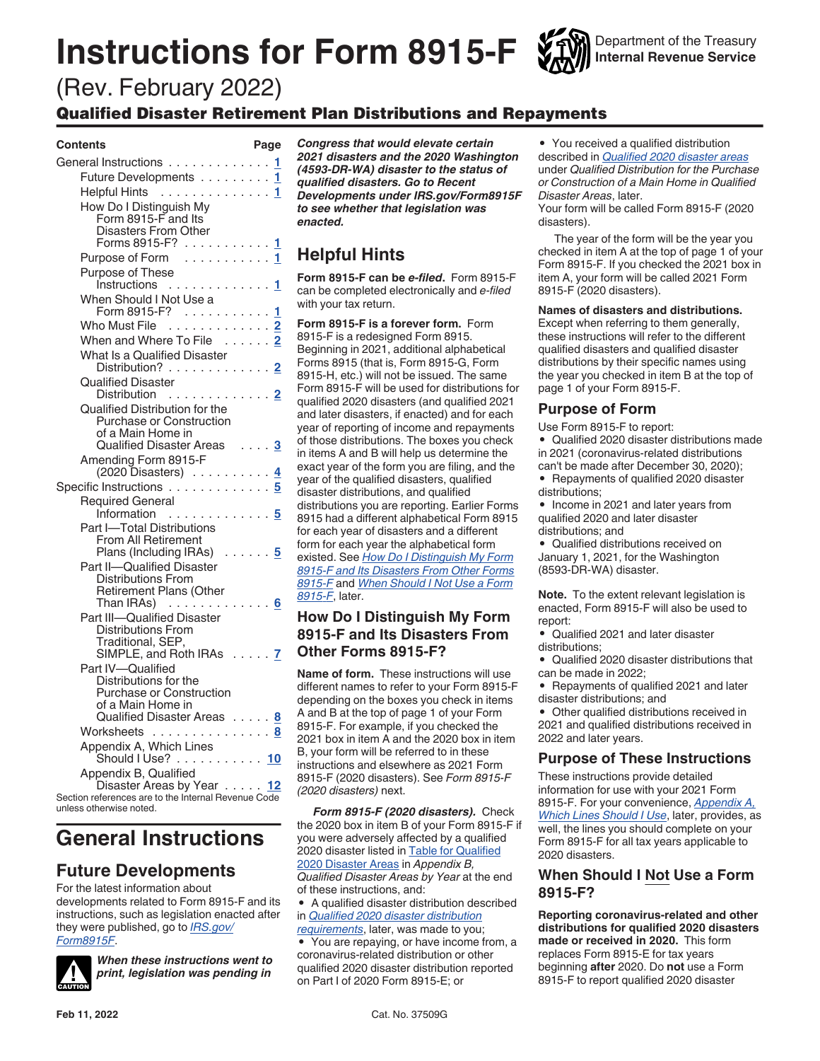# **Instructions for Form 8915-F**

Department of the Treasury **Internal Revenue Service**

# (Rev. February 2022)

# Qualified Disaster Retirement Plan Distributions and Repayments

#### **Contents Page**

| General Instructions 1                                                           |  |  |           |
|----------------------------------------------------------------------------------|--|--|-----------|
| Future Developments 1<br>Helpful Hints 1                                         |  |  |           |
|                                                                                  |  |  |           |
| How Do I Distinguish My                                                          |  |  |           |
| Form 8915-Fand Its                                                               |  |  |           |
| <b>Disasters From Other</b>                                                      |  |  |           |
| Forms 8915-F? 1                                                                  |  |  |           |
| Purpose of Form 1<br>Purpose of These                                            |  |  |           |
| Instructions $1$                                                                 |  |  |           |
| When Should I Not Use a                                                          |  |  |           |
| Form 8915-F? $\ldots \ldots \ldots \frac{1}{n}$                                  |  |  |           |
| Who Must File 2                                                                  |  |  |           |
| When and Where To File 2                                                         |  |  |           |
| What Is a Qualified Disaster                                                     |  |  |           |
| Distribution? 2                                                                  |  |  |           |
| <b>Qualified Disaster</b>                                                        |  |  |           |
| Distribution 2                                                                   |  |  |           |
| Qualified Distribution for the<br>Purchase or Construction                       |  |  |           |
| of a Main Home in                                                                |  |  |           |
| Qualified Disaster Areas  3                                                      |  |  |           |
| Amending Form 8915-F                                                             |  |  |           |
| (2020 Disasters) 4                                                               |  |  |           |
| Specific Instructions                                                            |  |  | 5         |
| <b>Required General</b>                                                          |  |  |           |
| Information<br>.                                                                 |  |  | 5         |
| Part I-Total Distributions<br>From All Retirement                                |  |  |           |
| Plans (Including IRAs)  5                                                        |  |  |           |
| Part II-Qualified Disaster                                                       |  |  |           |
| <b>Distributions From</b>                                                        |  |  |           |
| <b>Retirement Plans (Other</b>                                                   |  |  |           |
| Than IRAs) $\ldots \ldots \ldots$                                                |  |  |           |
| Part III-Qualified Disaster<br>Distributions From                                |  |  |           |
| Traditional, SEP,                                                                |  |  |           |
| SIMPLE, and Roth IRAs 7                                                          |  |  |           |
| Part IV-Qualified                                                                |  |  |           |
| Distributions for the                                                            |  |  |           |
| <b>Purchase or Construction</b><br>of a Main Home in                             |  |  |           |
| Qualified Disaster Areas 8                                                       |  |  |           |
| Worksheets                                                                       |  |  | $\cdot$ 8 |
| Appendix A, Which Lines                                                          |  |  |           |
| Should I Use? 10                                                                 |  |  |           |
| Appendix B, Qualified                                                            |  |  |           |
| Disaster Areas by Year 12<br>Section references are to the Internal Revenue Code |  |  |           |
| unlass otharwise notad                                                           |  |  |           |
|                                                                                  |  |  |           |

# **General Instructions**

# **Future Developments**

For the latest information about developments related to Form 8915-F and its instructions, such as legislation enacted after they were published, go to *[IRS.gov/](https://www.irs.gov/form8915C) [Form8915F](https://www.irs.gov/form8915C)*.



*When these instructions went to print, legislation was pending in*  *Congress that would elevate certain 2021 disasters and the 2020 Washington (4593-DR-WA) disaster to the status of qualified disasters. Go to Recent Developments under IRS.gov/Form8915F to see whether that legislation was enacted.*

# **Helpful Hints**

**Form 8915-F can be** *e-filed***.** Form 8915-F can be completed electronically and *e-filed*  with your tax return.

**Form 8915-F is a forever form.** Form 8915-F is a redesigned Form 8915. Beginning in 2021, additional alphabetical Forms 8915 (that is, Form 8915-G, Form 8915-H, etc.) will not be issued. The same Form 8915-F will be used for distributions for qualified 2020 disasters (and qualified 2021 and later disasters, if enacted) and for each year of reporting of income and repayments of those distributions. The boxes you check in items A and B will help us determine the exact year of the form you are filing, and the year of the qualified disasters, qualified disaster distributions, and qualified distributions you are reporting. Earlier Forms 8915 had a different alphabetical Form 8915 for each year of disasters and a different form for each year the alphabetical form existed. See *How Do I Distinguish My Form 8915-F and Its Disasters From Other Forms 8915-F* and *When Should I Not Use a Form 8915-F*, later.

# **How Do I Distinguish My Form 8915-F and Its Disasters From Other Forms 8915-F?**

**Name of form.** These instructions will use different names to refer to your Form 8915-F depending on the boxes you check in items A and B at the top of page 1 of your Form 8915-F. For example, if you checked the 2021 box in item A and the 2020 box in item B, your form will be referred to in these instructions and elsewhere as 2021 Form 8915-F (2020 disasters). See *Form 8915-F (2020 disasters)* next.

*Form 8915-F (2020 disasters).* Check the 2020 box in item B of your Form 8915-F if you were adversely affected by a qualified 2020 disaster listed in [Table for Qualified](#page-11-0) [2020 Disaster Areas](#page-11-0) in *Appendix B, Qualified Disaster Areas by Year* at the end of these instructions, and:

• A qualified disaster distribution described in *[Qualified 2020 disaster distribution](#page-1-0)  [requirements](#page-1-0)*, later, was made to you;

• You are repaying, or have income from, a coronavirus-related distribution or other qualified 2020 disaster distribution reported on Part I of 2020 Form 8915-E; or

• You received a qualified distribution described in *[Qualified 2020 disaster areas](#page-2-0)*  under *Qualified Distribution for the Purchase or Construction of a Main Home in Qualified Disaster Areas*, later.

Your form will be called Form 8915-F (2020 disasters).

The year of the form will be the year you checked in item A at the top of page 1 of your Form 8915-F. If you checked the 2021 box in item A, your form will be called 2021 Form 8915-F (2020 disasters).

#### **Names of disasters and distributions.**

Except when referring to them generally, these instructions will refer to the different qualified disasters and qualified disaster distributions by their specific names using the year you checked in item B at the top of page 1 of your Form 8915-F.

## **Purpose of Form**

Use Form 8915-F to report:

• Qualified 2020 disaster distributions made in 2021 (coronavirus-related distributions can't be made after December 30, 2020);

• Repayments of qualified 2020 disaster distributions;

• Income in 2021 and later years from qualified 2020 and later disaster distributions; and

• Qualified distributions received on January 1, 2021, for the Washington (8593-DR-WA) disaster.

**Note.** To the extent relevant legislation is enacted, Form 8915-F will also be used to report:

• Qualified 2021 and later disaster distributions;

• Qualified 2020 disaster distributions that can be made in 2022;

• Repayments of qualified 2021 and later disaster distributions; and

• Other qualified distributions received in 2021 and qualified distributions received in 2022 and later years.

### **Purpose of These Instructions**

These instructions provide detailed information for use with your 2021 Form 8915-F. For your convenience, *[Appendix A,](#page-9-0) [Which Lines Should I Use](#page-9-0)*, later, provides, as well, the lines you should complete on your Form 8915-F for all tax years applicable to 2020 disasters.

### **When Should I Not Use a Form 8915-F?**

**Reporting coronavirus-related and other distributions for qualified 2020 disasters made or received in 2020.** This form replaces Form 8915-E for tax years beginning **after** 2020. Do **not** use a Form 8915-F to report qualified 2020 disaster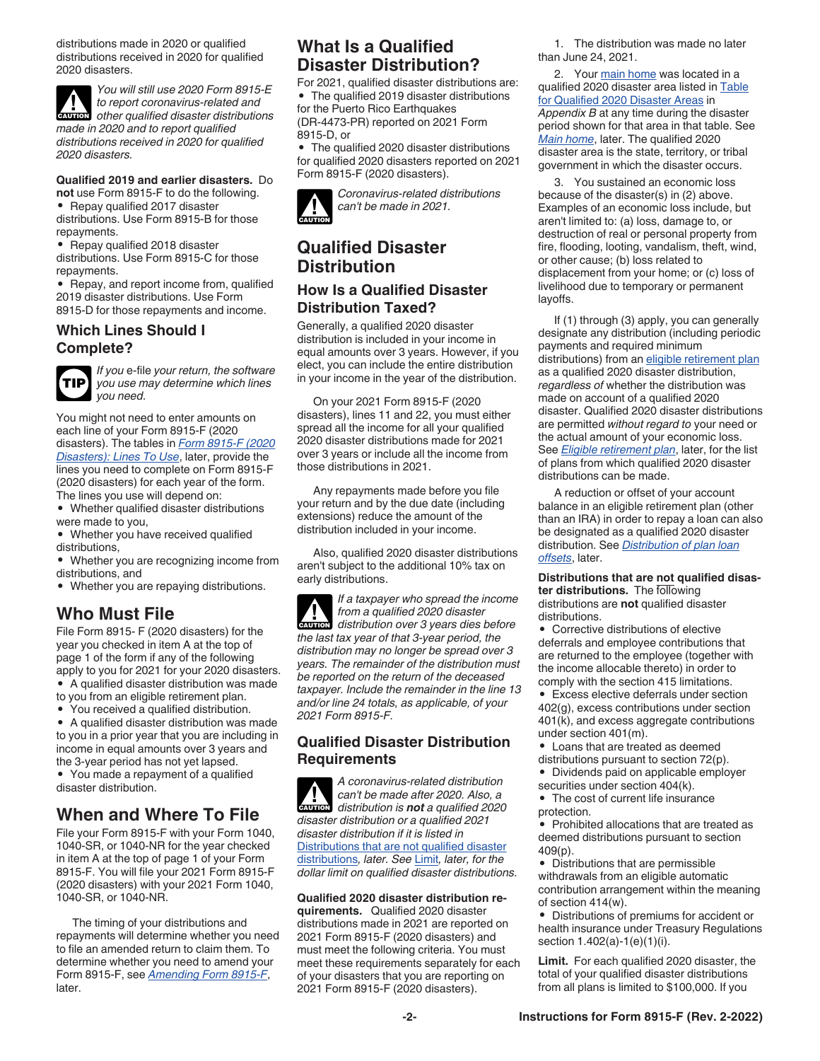<span id="page-1-0"></span>distributions made in 2020 or qualified distributions received in 2020 for qualified 2020 disasters.

*You will still use 2020 Form 8915-E to report coronavirus-related and*  **c** *to report coronavirus-related and*<br> **CAUTION** *other qualified disaster distributions made in 2020 and to report qualified distributions received in 2020 for qualified 2020 disasters.*

#### **Qualified 2019 and earlier disasters.** Do

**not** use Form 8915-F to do the following. • Repay qualified 2017 disaster

distributions. Use Form 8915-B for those repayments.

• Repay qualified 2018 disaster distributions. Use Form 8915-C for those repayments.

• Repay, and report income from, qualified 2019 disaster distributions. Use Form 8915-D for those repayments and income.

## **Which Lines Should I Complete?**



*If you* e-file *your return, the software you use may determine which lines you need.*

You might not need to enter amounts on each line of your Form 8915-F (2020 disasters). The tables in *[Form 8915-F \(2020](#page-9-0)  [Disasters\): Lines To Use](#page-9-0)*, later, provide the lines you need to complete on Form 8915-F (2020 disasters) for each year of the form. The lines you use will depend on:

• Whether qualified disaster distributions were made to you,

• Whether you have received qualified distributions,

• Whether you are recognizing income from distributions, and

• Whether you are repaying distributions.

# **Who Must File**

File Form 8915- F (2020 disasters) for the year you checked in item A at the top of page 1 of the form if any of the following apply to you for 2021 for your 2020 disasters. • A qualified disaster distribution was made

to you from an eligible retirement plan.

• You received a qualified distribution.

• A qualified disaster distribution was made to you in a prior year that you are including in income in equal amounts over 3 years and the 3-year period has not yet lapsed. • You made a repayment of a qualified disaster distribution.

# **When and Where To File**

File your Form 8915-F with your Form 1040, 1040-SR, or 1040-NR for the year checked in item A at the top of page 1 of your Form 8915-F. You will file your 2021 Form 8915-F (2020 disasters) with your 2021 Form 1040, 1040-SR, or 1040-NR.

The timing of your distributions and repayments will determine whether you need to file an amended return to claim them. To determine whether you need to amend your Form 8915-F, see *[Amending Form 8915-F](#page-3-0)*, later.

# **What Is a Qualified Disaster Distribution?**

For 2021, qualified disaster distributions are: • The qualified 2019 disaster distributions for the Puerto Rico Earthquakes (DR-4473-PR) reported on 2021 Form 8915-D, or

• The qualified 2020 disaster distributions for qualified 2020 disasters reported on 2021 Form 8915-F (2020 disasters).

*Coronavirus-related distributions can't be made in 2021.* **CAUTION !**

# **Qualified Disaster Distribution**

## **How Is a Qualified Disaster Distribution Taxed?**

Generally, a qualified 2020 disaster distribution is included in your income in equal amounts over 3 years. However, if you elect, you can include the entire distribution in your income in the year of the distribution.

On your 2021 Form 8915-F (2020 disasters), lines 11 and 22, you must either spread all the income for all your qualified 2020 disaster distributions made for 2021 over 3 years or include all the income from those distributions in 2021.

Any repayments made before you file your return and by the due date (including extensions) reduce the amount of the distribution included in your income.

Also, qualified 2020 disaster distributions aren't subject to the additional 10% tax on early distributions.

*If a taxpayer who spread the income from a qualified 2020 disaster*  **distribution over 3 years dies before**<br> **CAUTION** distribution over 3 years dies before *the last tax year of that 3-year period, the distribution may no longer be spread over 3 years. The remainder of the distribution must be reported on the return of the deceased taxpayer. Include the remainder in the line 13 and/or line 24 totals, as applicable, of your 2021 Form 8915-F.*

### **Qualified Disaster Distribution Requirements**

*A coronavirus-related distribution can't be made after 2020. Also, a distribution is not a qualified 2020 disaster distribution or a qualified 2021 disaster distribution if it is listed in*  Distributions that are not qualified disaster distributions*, later. See* Limit*, later, for the dollar limit on qualified disaster distributions.* **CAUTION !**

#### **Qualified 2020 disaster distribution requirements.** Qualified 2020 disaster distributions made in 2021 are reported on 2021 Form 8915-F (2020 disasters) and

must meet the following criteria. You must meet these requirements separately for each of your disasters that you are reporting on 2021 Form 8915-F (2020 disasters).

1. The distribution was made no later than June 24, 2021.

2. Your [main home](#page-2-0) was located in a qualified 2020 disaster area listed in [Table](#page-11-0) [for Qualified 2020 Disaster Areas](#page-11-0) in *Appendix B* at any time during the disaster period shown for that area in that table. See *[Main home](#page-2-0)*, later. The qualified 2020 disaster area is the state, territory, or tribal government in which the disaster occurs.

3. You sustained an economic loss because of the disaster(s) in (2) above. Examples of an economic loss include, but aren't limited to: (a) loss, damage to, or destruction of real or personal property from fire, flooding, looting, vandalism, theft, wind, or other cause; (b) loss related to displacement from your home; or (c) loss of livelihood due to temporary or permanent layoffs.

If (1) through (3) apply, you can generally designate any distribution (including periodic payments and required minimum distributions) from an [eligible retirement plan](#page-2-0) as a qualified 2020 disaster distribution, *regardless of* whether the distribution was made on account of a qualified 2020 disaster. Qualified 2020 disaster distributions are permitted *without regard to* your need or the actual amount of your economic loss. See *[Eligible retirement plan](#page-2-0)*, later, for the list of plans from which qualified 2020 disaster distributions can be made.

A reduction or offset of your account balance in an eligible retirement plan (other than an IRA) in order to repay a loan can also be designated as a qualified 2020 disaster distribution. See *[Distribution of plan loan](#page-2-0) [offsets](#page-2-0)*, later.

**Distributions that are not qualified disaster distributions.** The following distributions are **not** qualified disaster distributions.

• Corrective distributions of elective deferrals and employee contributions that are returned to the employee (together with the income allocable thereto) in order to comply with the section 415 limitations.

• Excess elective deferrals under section 402(g), excess contributions under section 401(k), and excess aggregate contributions under section 401(m).

- Loans that are treated as deemed distributions pursuant to section 72(p).
- Dividends paid on applicable employer securities under section 404(k).
- The cost of current life insurance protection.
- Prohibited allocations that are treated as deemed distributions pursuant to section 409(p).

• Distributions that are permissible withdrawals from an eligible automatic contribution arrangement within the meaning of section 414(w).

• Distributions of premiums for accident or health insurance under Treasury Regulations section 1.402(a)-1(e)(1)(i).

**Limit.** For each qualified 2020 disaster, the total of your qualified disaster distributions from all plans is limited to \$100,000. If you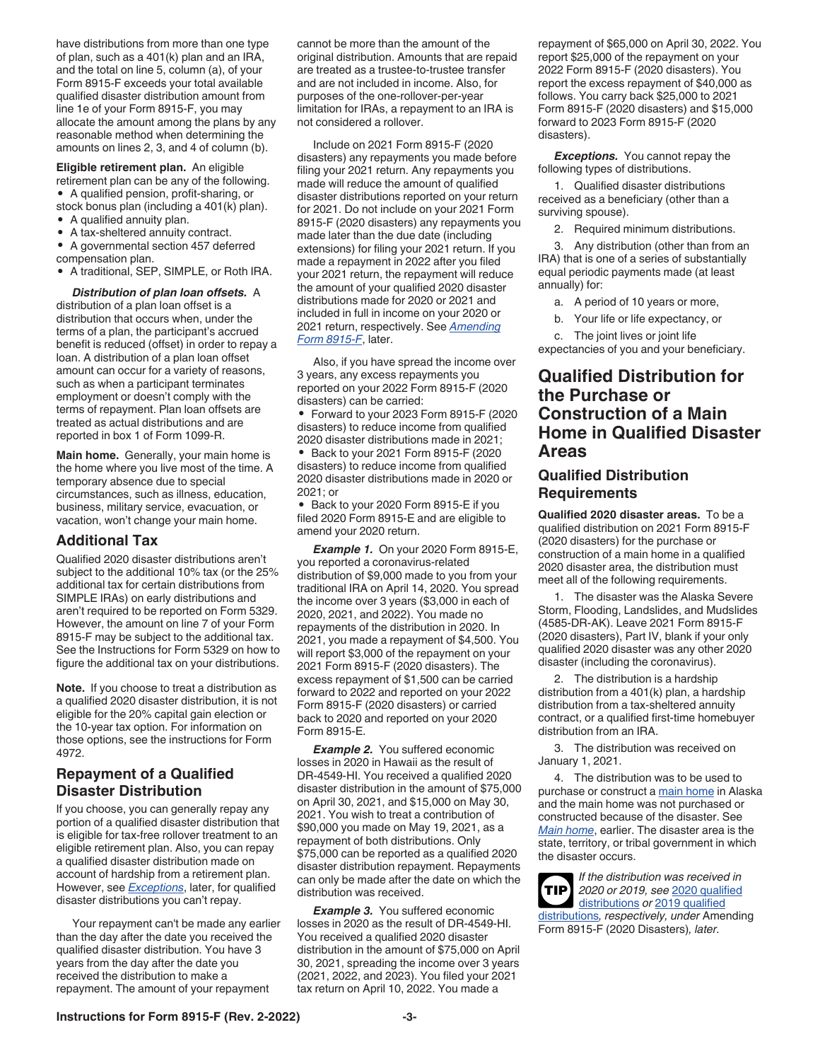<span id="page-2-0"></span>**Eligible retirement plan.** An eligible retirement plan can be any of the following. • A qualified pension, profit-sharing, or stock bonus plan (including a 401(k) plan).

- A qualified annuity plan.
- A tax-sheltered annuity contract.
- A governmental section 457 deferred compensation plan.
- A traditional, SEP, SIMPLE, or Roth IRA.

*Distribution of plan loan offsets.* A distribution of a plan loan offset is a distribution that occurs when, under the terms of a plan, the participant's accrued benefit is reduced (offset) in order to repay a loan. A distribution of a plan loan offset amount can occur for a variety of reasons, such as when a participant terminates employment or doesn't comply with the terms of repayment. Plan loan offsets are treated as actual distributions and are reported in box 1 of Form 1099-R.

**Main home.** Generally, your main home is the home where you live most of the time. A temporary absence due to special circumstances, such as illness, education, business, military service, evacuation, or vacation, won't change your main home.

#### **Additional Tax**

Qualified 2020 disaster distributions aren't subject to the additional 10% tax (or the 25% additional tax for certain distributions from SIMPLE IRAs) on early distributions and aren't required to be reported on Form 5329. However, the amount on line 7 of your Form 8915-F may be subject to the additional tax. See the Instructions for Form 5329 on how to figure the additional tax on your distributions.

**Note.** If you choose to treat a distribution as a qualified 2020 disaster distribution, it is not eligible for the 20% capital gain election or the 10-year tax option. For information on those options, see the instructions for Form 4972.

### **Repayment of a Qualified Disaster Distribution**

If you choose, you can generally repay any portion of a qualified disaster distribution that is eligible for tax-free rollover treatment to an eligible retirement plan. Also, you can repay a qualified disaster distribution made on account of hardship from a retirement plan. However, see *Exceptions*, later, for qualified disaster distributions you can't repay.

Your repayment can't be made any earlier than the day after the date you received the qualified disaster distribution. You have 3 years from the day after the date you received the distribution to make a repayment. The amount of your repayment

cannot be more than the amount of the original distribution. Amounts that are repaid are treated as a trustee-to-trustee transfer and are not included in income. Also, for purposes of the one-rollover-per-year limitation for IRAs, a repayment to an IRA is not considered a rollover.

Include on 2021 Form 8915-F (2020 disasters) any repayments you made before filing your 2021 return. Any repayments you made will reduce the amount of qualified disaster distributions reported on your return for 2021. Do not include on your 2021 Form 8915-F (2020 disasters) any repayments you made later than the due date (including extensions) for filing your 2021 return. If you made a repayment in 2022 after you filed your 2021 return, the repayment will reduce the amount of your qualified 2020 disaster distributions made for 2020 or 2021 and included in full in income on your 2020 or 2021 return, respectively. See *[Amending](#page-3-0) [Form 8915-F](#page-3-0)*, later.

Also, if you have spread the income over 3 years, any excess repayments you reported on your 2022 Form 8915-F (2020 disasters) can be carried:

• Forward to your 2023 Form 8915-F (2020 disasters) to reduce income from qualified 2020 disaster distributions made in 2021; • Back to your 2021 Form 8915-F (2020 disasters) to reduce income from qualified 2020 disaster distributions made in 2020 or 2021; or

• Back to your 2020 Form 8915-E if you filed 2020 Form 8915-E and are eligible to amend your 2020 return.

*Example 1.* On your 2020 Form 8915-E, you reported a coronavirus-related distribution of \$9,000 made to you from your traditional IRA on April 14, 2020. You spread the income over 3 years (\$3,000 in each of 2020, 2021, and 2022). You made no repayments of the distribution in 2020. In 2021, you made a repayment of \$4,500. You will report \$3,000 of the repayment on your 2021 Form 8915-F (2020 disasters). The excess repayment of \$1,500 can be carried forward to 2022 and reported on your 2022 Form 8915-F (2020 disasters) or carried back to 2020 and reported on your 2020 Form 8915-E.

**Example 2.** You suffered economic losses in 2020 in Hawaii as the result of DR-4549-HI. You received a qualified 2020 disaster distribution in the amount of \$75,000 on April 30, 2021, and \$15,000 on May 30, 2021. You wish to treat a contribution of \$90,000 you made on May 19, 2021, as a repayment of both distributions. Only \$75,000 can be reported as a qualified 2020 disaster distribution repayment. Repayments can only be made after the date on which the distribution was received.

*Example 3.* You suffered economic losses in 2020 as the result of DR-4549-HI. You received a qualified 2020 disaster distribution in the amount of \$75,000 on April 30, 2021, spreading the income over 3 years (2021, 2022, and 2023). You filed your 2021 tax return on April 10, 2022. You made a

repayment of \$65,000 on April 30, 2022. You report \$25,000 of the repayment on your 2022 Form 8915-F (2020 disasters). You report the excess repayment of \$40,000 as follows. You carry back \$25,000 to 2021 Form 8915-F (2020 disasters) and \$15,000 forward to 2023 Form 8915-F (2020 disasters).

*Exceptions.* You cannot repay the following types of distributions.

1. Qualified disaster distributions received as a beneficiary (other than a surviving spouse).

2. Required minimum distributions.

3. Any distribution (other than from an IRA) that is one of a series of substantially equal periodic payments made (at least annually) for:

- a. A period of 10 years or more,
- b. Your life or life expectancy, or

c. The joint lives or joint life expectancies of you and your beneficiary.

# **Qualified Distribution for the Purchase or Construction of a Main Home in Qualified Disaster Areas**

### **Qualified Distribution Requirements**

**Qualified 2020 disaster areas.** To be a qualified distribution on 2021 Form 8915-F (2020 disasters) for the purchase or construction of a main home in a qualified 2020 disaster area, the distribution must meet all of the following requirements.

1. The disaster was the Alaska Severe Storm, Flooding, Landslides, and Mudslides (4585-DR-AK). Leave 2021 Form 8915-F (2020 disasters), Part IV, blank if your only qualified 2020 disaster was any other 2020 disaster (including the coronavirus).

2. The distribution is a hardship distribution from a 401(k) plan, a hardship distribution from a tax-sheltered annuity contract, or a qualified first-time homebuyer distribution from an IRA.

3. The distribution was received on January 1, 2021.

4. The distribution was to be used to purchase or construct a main home in Alaska and the main home was not purchased or constructed because of the disaster. See *Main home*, earlier. The disaster area is the state, territory, or tribal government in which the disaster occurs.

*If the distribution was received in 2020 or 2019, see* [2020 qualified](#page-3-0)  [distributions](#page-3-0) *or* [2019 qualified](#page-3-0)  [distributions](#page-3-0)*, respectively, under* Amending Form 8915-F (2020 Disasters)*, later.* **TIP**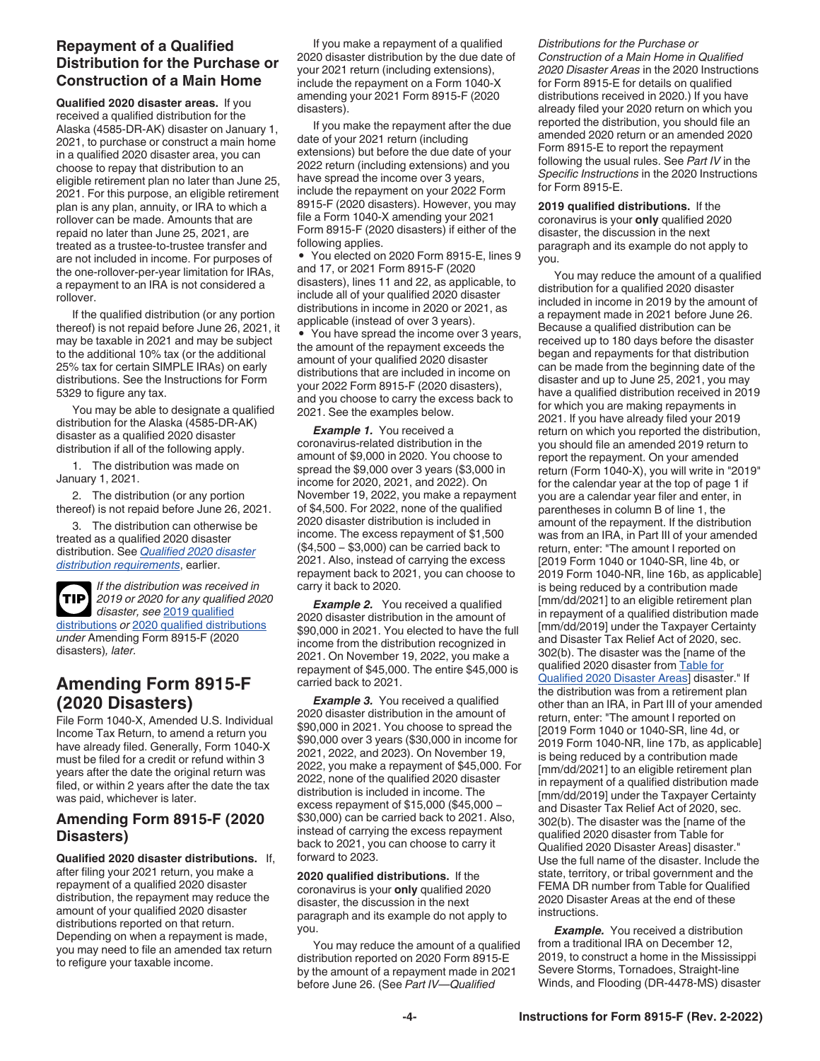# <span id="page-3-0"></span>**Repayment of a Qualified Distribution for the Purchase or Construction of a Main Home**

**Qualified 2020 disaster areas.** If you received a qualified distribution for the Alaska (4585-DR-AK) disaster on January 1, 2021, to purchase or construct a main home in a qualified 2020 disaster area, you can choose to repay that distribution to an eligible retirement plan no later than June 25, 2021. For this purpose, an eligible retirement plan is any plan, annuity, or IRA to which a rollover can be made. Amounts that are repaid no later than June 25, 2021, are treated as a trustee-to-trustee transfer and are not included in income. For purposes of the one-rollover-per-year limitation for IRAs, a repayment to an IRA is not considered a rollover.

If the qualified distribution (or any portion thereof) is not repaid before June 26, 2021, it may be taxable in 2021 and may be subject to the additional 10% tax (or the additional 25% tax for certain SIMPLE IRAs) on early distributions. See the Instructions for Form 5329 to figure any tax.

You may be able to designate a qualified distribution for the Alaska (4585-DR-AK) disaster as a qualified 2020 disaster distribution if all of the following apply.

1. The distribution was made on January 1, 2021.

2. The distribution (or any portion thereof) is not repaid before June 26, 2021.

3. The distribution can otherwise be treated as a qualified 2020 disaster distribution. See *[Qualified 2020 disaster](#page-1-0)  [distribution requirements](#page-1-0)*, earlier.



*If the distribution was received in 2019 or 2020 for any qualified 2020 disaster, see* 2019 qualified

distributions *or* 2020 qualified distributions *under* Amending Form 8915-F (2020 disasters)*, later.*

# **Amending Form 8915-F (2020 Disasters)**

File Form 1040-X, Amended U.S. Individual Income Tax Return, to amend a return you have already filed. Generally, Form 1040-X must be filed for a credit or refund within 3 years after the date the original return was filed, or within 2 years after the date the tax was paid, whichever is later.

## **Amending Form 8915-F (2020 Disasters)**

**Qualified 2020 disaster distributions.** If, after filing your 2021 return, you make a repayment of a qualified 2020 disaster distribution, the repayment may reduce the amount of your qualified 2020 disaster distributions reported on that return. Depending on when a repayment is made, you may need to file an amended tax return to refigure your taxable income.

If you make a repayment of a qualified 2020 disaster distribution by the due date of your 2021 return (including extensions), include the repayment on a Form 1040-X amending your 2021 Form 8915-F (2020 disasters).

If you make the repayment after the due date of your 2021 return (including extensions) but before the due date of your 2022 return (including extensions) and you have spread the income over 3 years, include the repayment on your 2022 Form 8915-F (2020 disasters). However, you may file a Form 1040-X amending your 2021 Form 8915-F (2020 disasters) if either of the following applies.

• You elected on 2020 Form 8915-E, lines 9 and 17, or 2021 Form 8915-F (2020 disasters), lines 11 and 22, as applicable, to include all of your qualified 2020 disaster distributions in income in 2020 or 2021, as applicable (instead of over 3 years).

• You have spread the income over 3 years, the amount of the repayment exceeds the amount of your qualified 2020 disaster distributions that are included in income on your 2022 Form 8915-F (2020 disasters), and you choose to carry the excess back to 2021. See the examples below.

**Example 1.** You received a coronavirus-related distribution in the amount of \$9,000 in 2020. You choose to spread the \$9,000 over 3 years (\$3,000 in income for 2020, 2021, and 2022). On November 19, 2022, you make a repayment of \$4,500. For 2022, none of the qualified 2020 disaster distribution is included in income. The excess repayment of \$1,500 (\$4,500 − \$3,000) can be carried back to 2021. Also, instead of carrying the excess repayment back to 2021, you can choose to carry it back to 2020.

**Example 2.** You received a qualified 2020 disaster distribution in the amount of \$90,000 in 2021. You elected to have the full income from the distribution recognized in 2021. On November 19, 2022, you make a repayment of \$45,000. The entire \$45,000 is carried back to 2021.

**Example 3.** You received a qualified 2020 disaster distribution in the amount of \$90,000 in 2021. You choose to spread the \$90,000 over 3 years (\$30,000 in income for 2021, 2022, and 2023). On November 19, 2022, you make a repayment of \$45,000. For 2022, none of the qualified 2020 disaster distribution is included in income. The excess repayment of \$15,000 (\$45,000 − \$30,000) can be carried back to 2021. Also, instead of carrying the excess repayment back to 2021, you can choose to carry it forward to 2023.

**2020 qualified distributions.** If the coronavirus is your **only** qualified 2020 disaster, the discussion in the next paragraph and its example do not apply to you.

You may reduce the amount of a qualified distribution reported on 2020 Form 8915-E by the amount of a repayment made in 2021 before June 26. (See *Part IV—Qualified* 

*Distributions for the Purchase or Construction of a Main Home in Qualified 2020 Disaster Areas* in the 2020 Instructions for Form 8915-E for details on qualified distributions received in 2020.) If you have already filed your 2020 return on which you reported the distribution, you should file an amended 2020 return or an amended 2020 Form 8915-E to report the repayment following the usual rules. See *Part IV* in the *Specific Instructions* in the 2020 Instructions for Form 8915-E.

**2019 qualified distributions.** If the coronavirus is your **only** qualified 2020 disaster, the discussion in the next paragraph and its example do not apply to you.

You may reduce the amount of a qualified distribution for a qualified 2020 disaster included in income in 2019 by the amount of a repayment made in 2021 before June 26. Because a qualified distribution can be received up to 180 days before the disaster began and repayments for that distribution can be made from the beginning date of the disaster and up to June 25, 2021, you may have a qualified distribution received in 2019 for which you are making repayments in 2021. If you have already filed your 2019 return on which you reported the distribution, you should file an amended 2019 return to report the repayment. On your amended return (Form 1040-X), you will write in "2019" for the calendar year at the top of page 1 if you are a calendar year filer and enter, in parentheses in column B of line 1, the amount of the repayment. If the distribution was from an IRA, in Part III of your amended return, enter: "The amount I reported on [2019 Form 1040 or 1040-SR, line 4b, or 2019 Form 1040-NR, line 16b, as applicable] is being reduced by a contribution made [mm/dd/2021] to an eligible retirement plan in repayment of a qualified distribution made [mm/dd/2019] under the Taxpayer Certainty and Disaster Tax Relief Act of 2020, sec. 302(b). The disaster was the [name of the qualified 2020 disaster from [Table for](#page-11-0)  [Qualified 2020 Disaster Areas\]](#page-11-0) disaster." If the distribution was from a retirement plan other than an IRA, in Part III of your amended return, enter: "The amount I reported on [2019 Form 1040 or 1040-SR, line 4d, or 2019 Form 1040-NR, line 17b, as applicable] is being reduced by a contribution made [mm/dd/2021] to an eligible retirement plan in repayment of a qualified distribution made [mm/dd/2019] under the Taxpayer Certainty and Disaster Tax Relief Act of 2020, sec. 302(b). The disaster was the [name of the qualified 2020 disaster from Table for Qualified 2020 Disaster Areas] disaster." Use the full name of the disaster. Include the state, territory, or tribal government and the FEMA DR number from Table for Qualified 2020 Disaster Areas at the end of these instructions.

**Example.** You received a distribution from a traditional IRA on December 12, 2019, to construct a home in the Mississippi Severe Storms, Tornadoes, Straight-line Winds, and Flooding (DR-4478-MS) disaster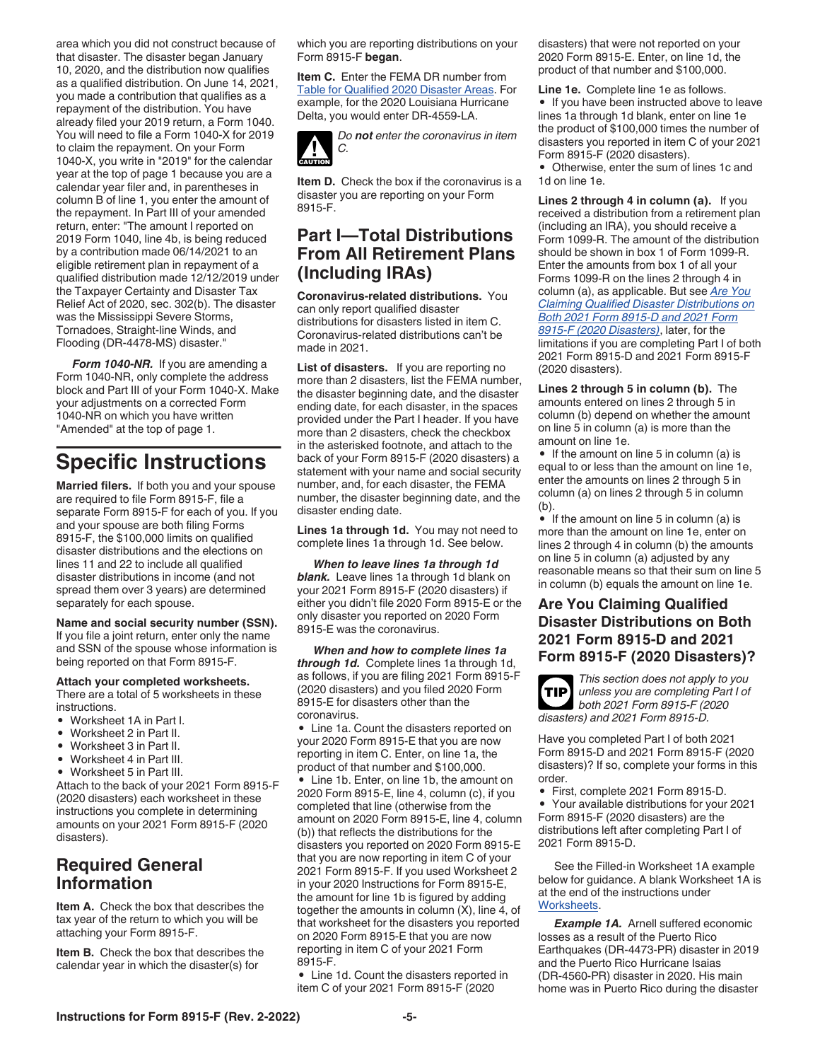<span id="page-4-0"></span>area which you did not construct because of that disaster. The disaster began January 10, 2020, and the distribution now qualifies as a qualified distribution. On June 14, 2021, you made a contribution that qualifies as a repayment of the distribution. You have already filed your 2019 return, a Form 1040. You will need to file a Form 1040-X for 2019 to claim the repayment. On your Form 1040-X, you write in "2019" for the calendar year at the top of page 1 because you are a calendar year filer and, in parentheses in column B of line 1, you enter the amount of the repayment. In Part III of your amended return, enter: "The amount I reported on 2019 Form 1040, line 4b, is being reduced by a contribution made 06/14/2021 to an eligible retirement plan in repayment of a qualified distribution made 12/12/2019 under the Taxpayer Certainty and Disaster Tax Relief Act of 2020, sec. 302(b). The disaster was the Mississippi Severe Storms, Tornadoes, Straight-line Winds, and Flooding (DR-4478-MS) disaster."

*Form 1040-NR.* If you are amending a Form 1040-NR, only complete the address block and Part III of your Form 1040-X. Make your adjustments on a corrected Form 1040-NR on which you have written "Amended" at the top of page 1.

# **Specific Instructions**

**Married filers.** If both you and your spouse are required to file Form 8915-F, file a separate Form 8915-F for each of you. If you and your spouse are both filing Forms 8915-F, the \$100,000 limits on qualified disaster distributions and the elections on lines 11 and 22 to include all qualified disaster distributions in income (and not spread them over 3 years) are determined separately for each spouse.

**Name and social security number (SSN).**  If you file a joint return, enter only the name and SSN of the spouse whose information is being reported on that Form 8915-F.

#### **Attach your completed worksheets.**

There are a total of 5 worksheets in these instructions.

- Worksheet 1A in Part I.
- Worksheet 2 in Part II.
- Worksheet 3 in Part II.
- Worksheet 4 in Part III.
- Worksheet 5 in Part III.

Attach to the back of your 2021 Form 8915-F (2020 disasters) each worksheet in these instructions you complete in determining amounts on your 2021 Form 8915-F (2020 disasters).

# **Required General Information**

**Item A.** Check the box that describes the tax year of the return to which you will be attaching your Form 8915-F.

**Item B.** Check the box that describes the calendar year in which the disaster(s) for

which you are reporting distributions on your Form 8915-F **began**.

**Item C.** Enter the FEMA DR number from [Table for Qualified 2020 Disaster Areas.](#page-11-0) For example, for the 2020 Louisiana Hurricane Delta, you would enter DR-4559-LA.



**Item D.** Check the box if the coronavirus is a disaster you are reporting on your Form 8915-F.

# **Part I—Total Distributions From All Retirement Plans (Including IRAs)**

**Coronavirus-related distributions.** You can only report qualified disaster distributions for disasters listed in item C. Coronavirus-related distributions can't be made in 2021.

**List of disasters.** If you are reporting no more than 2 disasters, list the FEMA number, the disaster beginning date, and the disaster ending date, for each disaster, in the spaces provided under the Part I header. If you have more than 2 disasters, check the checkbox in the asterisked footnote, and attach to the back of your Form 8915-F (2020 disasters) a statement with your name and social security number, and, for each disaster, the FEMA number, the disaster beginning date, and the disaster ending date.

**Lines 1a through 1d.** You may not need to complete lines 1a through 1d. See below.

*When to leave lines 1a through 1d blank.* Leave lines 1a through 1d blank on your 2021 Form 8915-F (2020 disasters) if either you didn't file 2020 Form 8915-E or the only disaster you reported on 2020 Form 8915-E was the coronavirus.

*When and how to complete lines 1a through 1d.* Complete lines 1a through 1d, as follows, if you are filing 2021 Form 8915-F (2020 disasters) and you filed 2020 Form 8915-E for disasters other than the coronavirus.

• Line 1a. Count the disasters reported on your 2020 Form 8915-E that you are now reporting in item C. Enter, on line 1a, the product of that number and \$100,000. Line 1b. Enter, on line 1b, the amount on 2020 Form 8915-E, line 4, column (c), if you completed that line (otherwise from the amount on 2020 Form 8915-E, line 4, column (b)) that reflects the distributions for the disasters you reported on 2020 Form 8915-E that you are now reporting in item C of your 2021 Form 8915-F. If you used Worksheet 2 in your 2020 Instructions for Form 8915-E, the amount for line 1b is figured by adding together the amounts in column (X), line 4, of that worksheet for the disasters you reported on 2020 Form 8915-E that you are now reporting in item C of your 2021 Form 8915-F.

• Line 1d. Count the disasters reported in item C of your 2021 Form 8915-F (2020

disasters) that were not reported on your 2020 Form 8915-E. Enter, on line 1d, the product of that number and \$100,000.

**Line 1e.** Complete line 1e as follows. • If you have been instructed above to leave lines 1a through 1d blank, enter on line 1e the product of \$100,000 times the number of disasters you reported in item C of your 2021 Form 8915-F (2020 disasters).

• Otherwise, enter the sum of lines 1c and 1d on line 1e.

**Lines 2 through 4 in column (a).** If you received a distribution from a retirement plan (including an IRA), you should receive a Form 1099-R. The amount of the distribution should be shown in box 1 of Form 1099-R. Enter the amounts from box 1 of all your Forms 1099-R on the lines 2 through 4 in column (a), as applicable. But see *Are You Claiming Qualified Disaster Distributions on Both 2021 Form 8915-D and 2021 Form 8915-F (2020 Disasters)*, later, for the limitations if you are completing Part I of both 2021 Form 8915-D and 2021 Form 8915-F (2020 disasters).

**Lines 2 through 5 in column (b).** The amounts entered on lines 2 through 5 in column (b) depend on whether the amount on line 5 in column (a) is more than the amount on line 1e.

• If the amount on line 5 in column (a) is equal to or less than the amount on line 1e, enter the amounts on lines 2 through 5 in column (a) on lines 2 through 5 in column (b).

• If the amount on line 5 in column (a) is more than the amount on line 1e, enter on lines 2 through 4 in column (b) the amounts on line 5 in column (a) adjusted by any reasonable means so that their sum on line 5 in column (b) equals the amount on line 1e.

### **Are You Claiming Qualified Disaster Distributions on Both 2021 Form 8915-D and 2021 Form 8915-F (2020 Disasters)?**



Have you completed Part I of both 2021 Form 8915-D and 2021 Form 8915-F (2020 disasters)? If so, complete your forms in this order.

• First, complete 2021 Form 8915-D.

• Your available distributions for your 2021 Form 8915-F (2020 disasters) are the distributions left after completing Part I of 2021 Form 8915-D.

See the Filled-in Worksheet 1A example below for guidance. A blank Worksheet 1A is at the end of the instructions under [Worksheets.](#page-7-0)

**Example 1A.** Arnell suffered economic losses as a result of the Puerto Rico Earthquakes (DR-4473-PR) disaster in 2019 and the Puerto Rico Hurricane Isaias (DR-4560-PR) disaster in 2020. His main home was in Puerto Rico during the disaster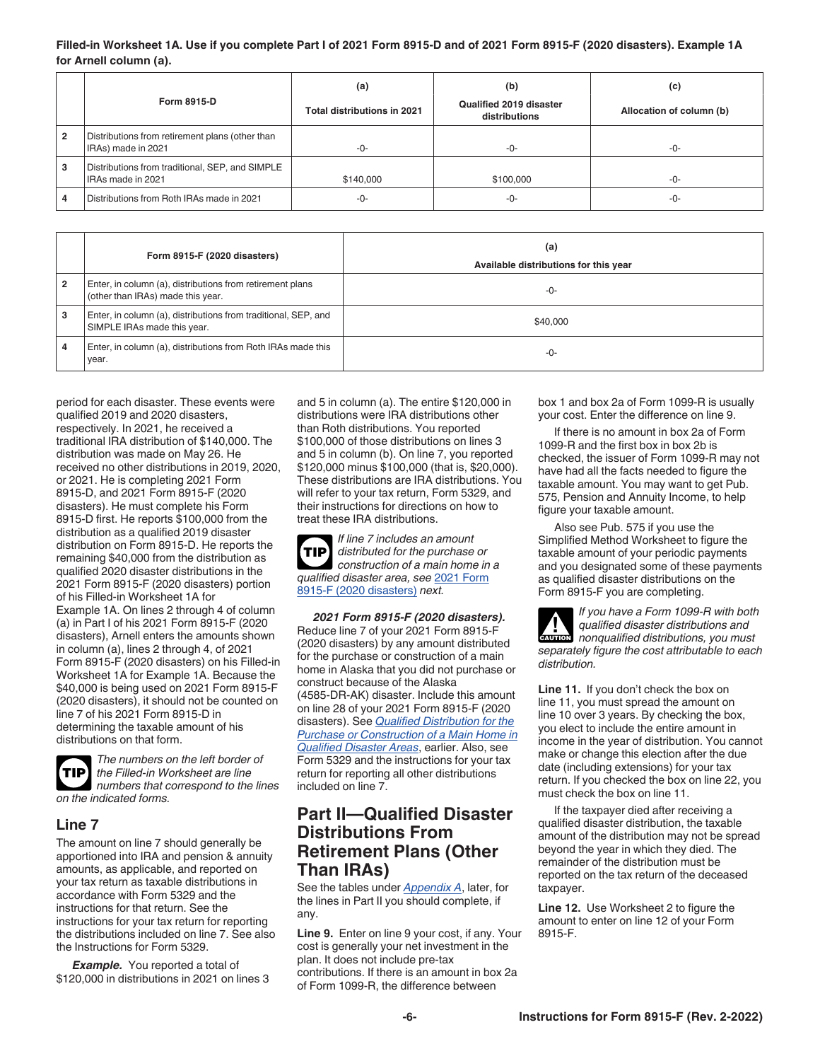#### <span id="page-5-0"></span>**Filled-in Worksheet 1A. Use if you complete Part I of 2021 Form 8915-D and of 2021 Form 8915-F (2020 disasters). Example 1A for Arnell column (a).**

|                | Form 8915-D                                                           | (a)<br>Total distributions in 2021 | (b)<br>Qualified 2019 disaster<br>distributions | (c)<br>Allocation of column (b) |
|----------------|-----------------------------------------------------------------------|------------------------------------|-------------------------------------------------|---------------------------------|
| $\overline{2}$ | Distributions from retirement plans (other than<br>IRAs) made in 2021 | -0-                                | -0-                                             | $-0-$                           |
| 3              | Distributions from traditional, SEP, and SIMPLE<br>IRAs made in 2021  | \$140,000                          | \$100,000                                       | -0-                             |
| 4              | Distributions from Roth IRAs made in 2021                             | -0-                                | -0-                                             | -0-                             |

|                | Form 8915-F (2020 disasters)                                                                   | (a)<br>Available distributions for this year |
|----------------|------------------------------------------------------------------------------------------------|----------------------------------------------|
| $\overline{2}$ | Enter, in column (a), distributions from retirement plans<br>(other than IRAs) made this year. | -0-                                          |
| 3              | Enter, in column (a), distributions from traditional, SEP, and<br>SIMPLE IRAs made this year.  | \$40,000                                     |
| 4              | Enter, in column (a), distributions from Roth IRAs made this<br>vear.                          | -0-                                          |

period for each disaster. These events were qualified 2019 and 2020 disasters, respectively. In 2021, he received a traditional IRA distribution of \$140,000. The distribution was made on May 26. He received no other distributions in 2019, 2020, or 2021. He is completing 2021 Form 8915-D, and 2021 Form 8915-F (2020 disasters). He must complete his Form 8915-D first. He reports \$100,000 from the distribution as a qualified 2019 disaster distribution on Form 8915-D. He reports the remaining \$40,000 from the distribution as qualified 2020 disaster distributions in the 2021 Form 8915-F (2020 disasters) portion of his Filled-in Worksheet 1A for Example 1A. On lines 2 through 4 of column (a) in Part I of his 2021 Form 8915-F (2020 disasters), Arnell enters the amounts shown in column (a), lines 2 through 4, of 2021 Form 8915-F (2020 disasters) on his Filled-in Worksheet 1A for Example 1A. Because the \$40,000 is being used on 2021 Form 8915-F (2020 disasters), it should not be counted on line 7 of his 2021 Form 8915-D in determining the taxable amount of his distributions on that form.



*The numbers on the left border of the Filled-in Worksheet are line numbers that correspond to the lines on the indicated forms.*

### **Line 7**

The amount on line 7 should generally be apportioned into IRA and pension & annuity amounts, as applicable, and reported on your tax return as taxable distributions in accordance with Form 5329 and the instructions for that return. See the instructions for your tax return for reporting the distributions included on line 7. See also the Instructions for Form 5329.

*Example.* You reported a total of \$120,000 in distributions in 2021 on lines 3 and 5 in column (a). The entire \$120,000 in distributions were IRA distributions other than Roth distributions. You reported \$100,000 of those distributions on lines 3 and 5 in column (b). On line 7, you reported \$120,000 minus \$100,000 (that is, \$20,000). These distributions are IRA distributions. You will refer to your tax return, Form 5329, and their instructions for directions on how to treat these IRA distributions.

*If line 7 includes an amount distributed for the purchase or construction of a main home in a qualified disaster area, see* 2021 Form 8915-F (2020 disasters) *next.* **TIP**

*2021 Form 8915-F (2020 disasters).*  Reduce line 7 of your 2021 Form 8915-F (2020 disasters) by any amount distributed for the purchase or construction of a main home in Alaska that you did not purchase or construct because of the Alaska (4585-DR-AK) disaster. Include this amount on line 28 of your 2021 Form 8915-F (2020 disasters). See *[Qualified Distribution for the](#page-2-0)  [Purchase or Construction of a Main Home in](#page-2-0)  [Qualified Disaster Areas](#page-2-0)*, earlier. Also, see Form 5329 and the instructions for your tax return for reporting all other distributions included on line 7.

# **Part II—Qualified Disaster Distributions From Retirement Plans (Other Than IRAs)**

See the tables under *[Appendix A](#page-9-0)*, later, for the lines in Part II you should complete, if any.

**Line 9.** Enter on line 9 your cost, if any. Your cost is generally your net investment in the plan. It does not include pre-tax contributions. If there is an amount in box 2a of Form 1099-R, the difference between

box 1 and box 2a of Form 1099-R is usually your cost. Enter the difference on line 9.

If there is no amount in box 2a of Form 1099-R and the first box in box 2b is checked, the issuer of Form 1099-R may not have had all the facts needed to figure the taxable amount. You may want to get Pub. 575, Pension and Annuity Income, to help figure your taxable amount.

Also see Pub. 575 if you use the Simplified Method Worksheet to figure the taxable amount of your periodic payments and you designated some of these payments as qualified disaster distributions on the Form 8915-F you are completing.

*If you have a Form 1099-R with both qualified disaster distributions and nonqualified distributions, you must*  **CAUTION** *separately figure the cost attributable to each distribution.* **!**

**Line 11.** If you don't check the box on line 11, you must spread the amount on line 10 over 3 years. By checking the box, you elect to include the entire amount in income in the year of distribution. You cannot make or change this election after the due date (including extensions) for your tax return. If you checked the box on line 22, you must check the box on line 11.

If the taxpayer died after receiving a qualified disaster distribution, the taxable amount of the distribution may not be spread beyond the year in which they died. The remainder of the distribution must be reported on the tax return of the deceased taxpayer.

**Line 12.** Use Worksheet 2 to figure the amount to enter on line 12 of your Form 8915-F.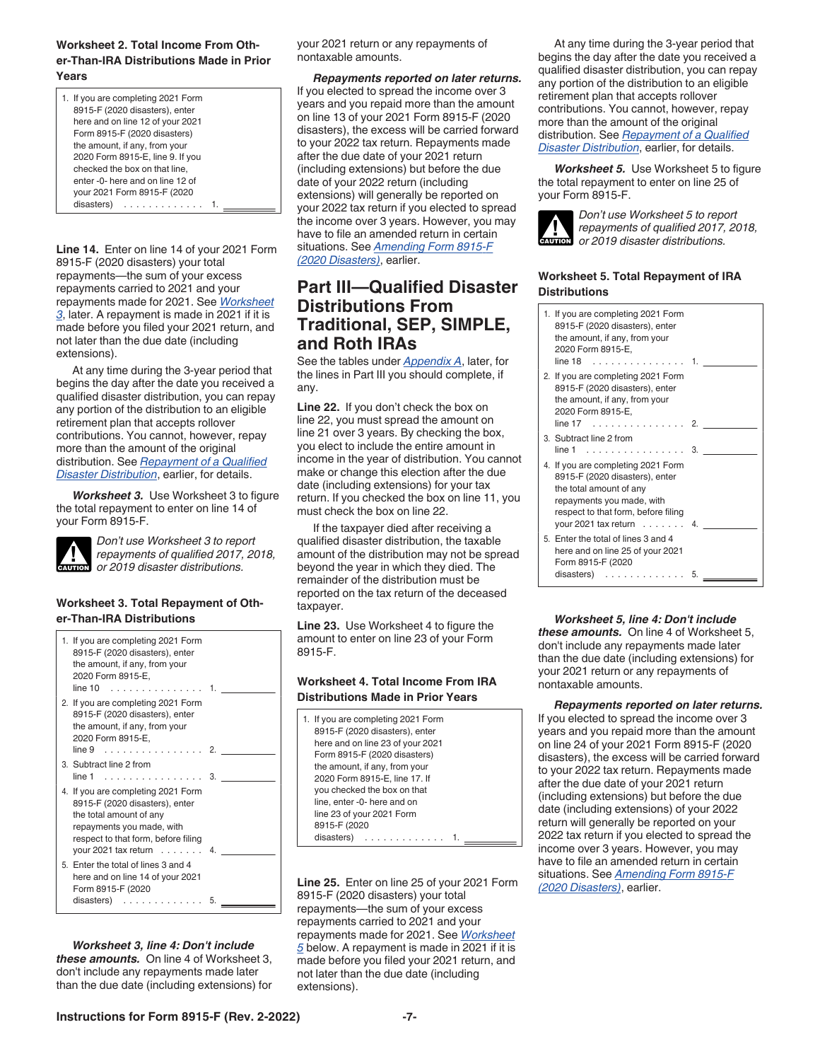#### <span id="page-6-0"></span>**Worksheet 2. Total Income From Other-Than-IRA Distributions Made in Prior Years**

| 1. If you are completing 2021 Form<br>8915-F (2020 disasters), enter |  |
|----------------------------------------------------------------------|--|
| here and on line 12 of your 2021                                     |  |
|                                                                      |  |
| Form 8915-F (2020 disasters)                                         |  |
| the amount, if any, from your                                        |  |
| 2020 Form 8915-E, line 9. If you                                     |  |
| checked the box on that line.                                        |  |
| enter -0- here and on line 12 of                                     |  |
| your 2021 Form 8915-F (2020                                          |  |
| disasters)<br>.                                                      |  |

**Line 14.** Enter on line 14 of your 2021 Form 8915-F (2020 disasters) your total repayments—the sum of your excess repayments carried to 2021 and your repayments made for 2021. See *Worksheet 3*, later. A repayment is made in 2021 if it is made before you filed your 2021 return, and not later than the due date (including extensions).

At any time during the 3-year period that begins the day after the date you received a qualified disaster distribution, you can repay any portion of the distribution to an eligible retirement plan that accepts rollover contributions. You cannot, however, repay more than the amount of the original distribution. See *[Repayment of a Qualified](#page-2-0) [Disaster Distribution](#page-2-0)*, earlier, for details.

*Worksheet 3.* Use Worksheet 3 to figure the total repayment to enter on line 14 of your Form 8915-F.



*Don't use Worksheet 3 to report repayments of qualified 2017, 2018, or 2019 disaster distributions.*

#### **Worksheet 3. Total Repayment of Other-Than-IRA Distributions**

|  | 1. If you are completing 2021 Form<br>8915-F (2020 disasters), enter<br>the amount, if any, from your<br>2020 Form 8915-E,<br>$line 10$ 1.                                                                     |    |  |
|--|----------------------------------------------------------------------------------------------------------------------------------------------------------------------------------------------------------------|----|--|
|  | 2. If you are completing 2021 Form<br>8915-F (2020 disasters), enter<br>the amount, if any, from your<br>2020 Form 8915-E,<br>$line 9$ 2.                                                                      |    |  |
|  | 3. Subtract line 2 from<br>$line 1$ 3.                                                                                                                                                                         |    |  |
|  | 4. If you are completing 2021 Form<br>8915-F (2020 disasters), enter<br>the total amount of any<br>repayments you made, with<br>respect to that form, before filing<br>your 2021 tax return $\ldots \ldots$ 4. |    |  |
|  | 5. Enter the total of lines 3 and 4<br>here and on line 14 of your 2021<br>Form 8915-F (2020<br>$disasters)$                                                                                                   | 5. |  |
|  |                                                                                                                                                                                                                |    |  |

*Worksheet 3, line 4: Don't include these amounts.* On line 4 of Worksheet 3, don't include any repayments made later than the due date (including extensions) for your 2021 return or any repayments of nontaxable amounts.

*Repayments reported on later returns.*  If you elected to spread the income over 3 years and you repaid more than the amount on line 13 of your 2021 Form 8915-F (2020 disasters), the excess will be carried forward to your 2022 tax return. Repayments made after the due date of your 2021 return (including extensions) but before the due date of your 2022 return (including extensions) will generally be reported on your 2022 tax return if you elected to spread the income over 3 years. However, you may have to file an amended return in certain situations. See *[Amending Form 8915-F](#page-3-0) [\(2020 Disasters\)](#page-3-0)*, earlier.

# **Part III—Qualified Disaster Distributions From Traditional, SEP, SIMPLE, and Roth IRAs**

See the tables under *[Appendix A](#page-9-0)*, later, for the lines in Part III you should complete, if any.

**Line 22.** If you don't check the box on line 22, you must spread the amount on line 21 over 3 years. By checking the box, you elect to include the entire amount in income in the year of distribution. You cannot make or change this election after the due date (including extensions) for your tax return. If you checked the box on line 11, you must check the box on line 22.

If the taxpayer died after receiving a qualified disaster distribution, the taxable amount of the distribution may not be spread beyond the year in which they died. The remainder of the distribution must be reported on the tax return of the deceased taxpayer.

**Line 23.** Use Worksheet 4 to figure the amount to enter on line 23 of your Form 8915-F.

#### **Worksheet 4. Total Income From IRA Distributions Made in Prior Years**

| 1. If you are completing 2021 Form<br>8915-F (2020 disasters), enter<br>here and on line 23 of your 2021<br>Form 8915-F (2020 disasters) |  |
|------------------------------------------------------------------------------------------------------------------------------------------|--|
| the amount, if any, from your<br>2020 Form 8915-E, line 17. If<br>you checked the box on that                                            |  |
| line, enter -0- here and on<br>line 23 of your 2021 Form<br>8915-F (2020                                                                 |  |
| disasters)                                                                                                                               |  |

**Line 25.** Enter on line 25 of your 2021 Form 8915-F (2020 disasters) your total repayments—the sum of your excess repayments carried to 2021 and your repayments made for 2021. See *Worksheet 5* below. A repayment is made in 2021 if it is made before you filed your 2021 return, and not later than the due date (including extensions).

At any time during the 3-year period that begins the day after the date you received a qualified disaster distribution, you can repay any portion of the distribution to an eligible retirement plan that accepts rollover contributions. You cannot, however, repay more than the amount of the original distribution. See *[Repayment of a Qualified](#page-2-0) [Disaster Distribution](#page-2-0)*, earlier, for details.

*Worksheet 5.* Use Worksheet 5 to figure the total repayment to enter on line 25 of your Form 8915-F.



*Don't use Worksheet 5 to report repayments of qualified 2017, 2018,*  **cAUTION** *or 2019 disaster distributions.* 

#### **Worksheet 5. Total Repayment of IRA Distributions**

| 1. If you are completing 2021 Form<br>8915-F (2020 disasters), enter<br>the amount, if any, from your<br>2020 Form 8915-E,<br>$line 18$ 1.                                                                  |    |
|-------------------------------------------------------------------------------------------------------------------------------------------------------------------------------------------------------------|----|
| 2. If you are completing 2021 Form<br>8915-F (2020 disasters), enter<br>the amount, if any, from your<br>2020 Form 8915-E,<br>$line 17$ 2.                                                                  |    |
| 3. Subtract line 2 from<br>$line 1$ 3.                                                                                                                                                                      |    |
| 4. If you are completing 2021 Form<br>8915-F (2020 disasters), enter<br>the total amount of any<br>repayments you made, with<br>respect to that form, before filing<br>your 2021 tax return $\ldots \ldots$ | 4. |
| 5. Enter the total of lines 3 and 4<br>here and on line 25 of your 2021<br>Form 8915-F (2020<br>. 5.<br>disasters)                                                                                          |    |

*Worksheet 5, line 4: Don't include these amounts.* On line 4 of Worksheet 5, don't include any repayments made later than the due date (including extensions) for your 2021 return or any repayments of nontaxable amounts.

*Repayments reported on later returns.*  If you elected to spread the income over 3 years and you repaid more than the amount on line 24 of your 2021 Form 8915-F (2020 disasters), the excess will be carried forward to your 2022 tax return. Repayments made after the due date of your 2021 return (including extensions) but before the due date (including extensions) of your 2022 return will generally be reported on your 2022 tax return if you elected to spread the income over 3 years. However, you may have to file an amended return in certain situations. See *[Amending Form 8915-F](#page-3-0) [\(2020 Disasters\)](#page-3-0)*, earlier.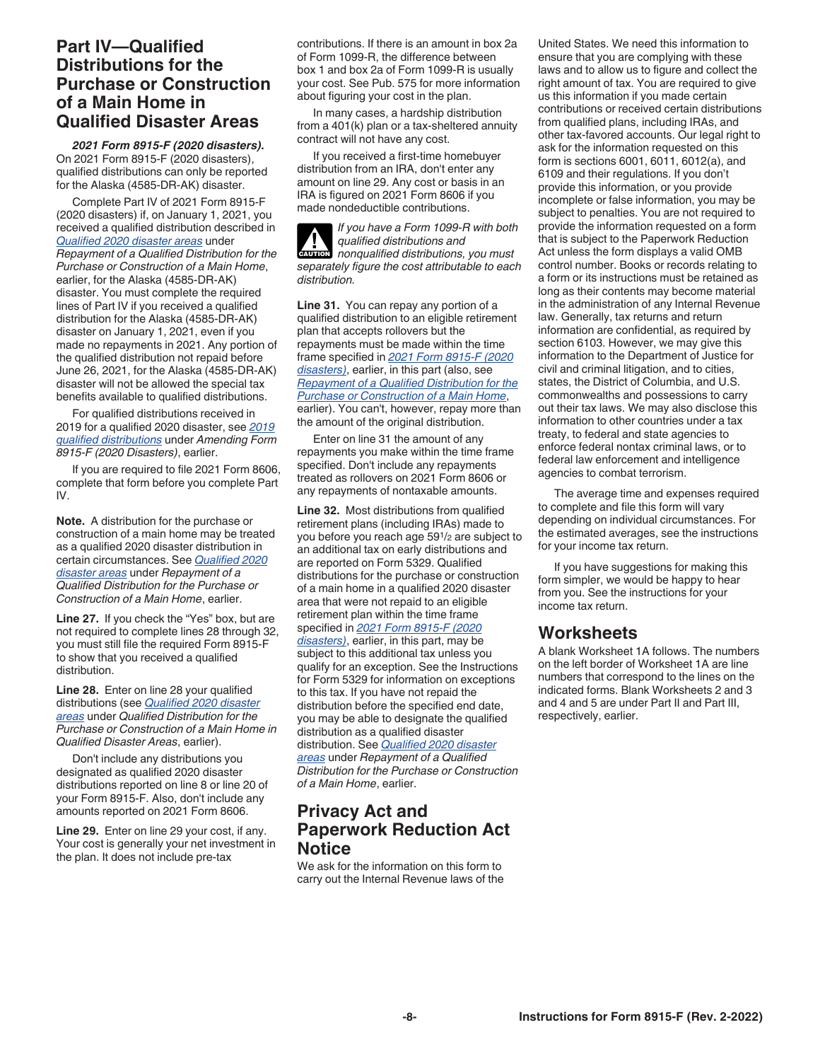# <span id="page-7-0"></span>**Part IV—Qualified Distributions for the Purchase or Construction of a Main Home in Qualified Disaster Areas**

*2021 Form 8915-F (2020 disasters).*  On 2021 Form 8915-F (2020 disasters), qualified distributions can only be reported for the Alaska (4585-DR-AK) disaster.

Complete Part IV of 2021 Form 8915-F (2020 disasters) if, on January 1, 2021, you received a qualified distribution described in *[Qualified 2020 disaster areas](#page-2-0)* under *Repayment of a Qualified Distribution for the Purchase or Construction of a Main Home*, earlier, for the Alaska (4585-DR-AK) disaster. You must complete the required lines of Part IV if you received a qualified distribution for the Alaska (4585-DR-AK) disaster on January 1, 2021, even if you made no repayments in 2021. Any portion of the qualified distribution not repaid before June 26, 2021, for the Alaska (4585-DR-AK) disaster will not be allowed the special tax benefits available to qualified distributions.

For qualified distributions received in 2019 for a qualified 2020 disaster, see *[2019](#page-3-0) [qualified distributions](#page-3-0)* under *Amending Form 8915-F (2020 Disasters)*, earlier.

If you are required to file 2021 Form 8606, complete that form before you complete Part IV.

**Note.** A distribution for the purchase or construction of a main home may be treated as a qualified 2020 disaster distribution in certain circumstances. See *[Qualified 2020](#page-3-0)  [disaster areas](#page-3-0)* under *Repayment of a Qualified Distribution for the Purchase or Construction of a Main Home*, earlier.

**Line 27.** If you check the "Yes" box, but are not required to complete lines 28 through 32, you must still file the required Form 8915-F to show that you received a qualified distribution.

**Line 28.** Enter on line 28 your qualified distributions (see *[Qualified 2020 disaster](#page-2-0) [areas](#page-2-0)* under *Qualified Distribution for the Purchase or Construction of a Main Home in Qualified Disaster Areas*, earlier).

Don't include any distributions you designated as qualified 2020 disaster distributions reported on line 8 or line 20 of your Form 8915-F. Also, don't include any amounts reported on 2021 Form 8606.

**Line 29.** Enter on line 29 your cost, if any. Your cost is generally your net investment in the plan. It does not include pre-tax

contributions. If there is an amount in box 2a of Form 1099-R, the difference between box 1 and box 2a of Form 1099-R is usually your cost. See Pub. 575 for more information about figuring your cost in the plan.

In many cases, a hardship distribution from a 401(k) plan or a tax-sheltered annuity contract will not have any cost.

If you received a first-time homebuyer distribution from an IRA, don't enter any amount on line 29. Any cost or basis in an IRA is figured on 2021 Form 8606 if you made nondeductible contributions.

*If you have a Form 1099-R with both qualified distributions and nonqualified distributions, you must separately figure the cost attributable to each distribution.* **CAUTION !**

**Line 31.** You can repay any portion of a qualified distribution to an eligible retirement plan that accepts rollovers but the repayments must be made within the time frame specified in *2021 Form 8915-F (2020 disasters)*, earlier, in this part (also, see *[Repayment of a Qualified Distribution for the](#page-3-0)  [Purchase or Construction of a Main Home](#page-3-0)*, earlier). You can't, however, repay more than the amount of the original distribution.

Enter on line 31 the amount of any repayments you make within the time frame specified. Don't include any repayments treated as rollovers on 2021 Form 8606 or any repayments of nontaxable amounts.

**Line 32.** Most distributions from qualified retirement plans (including IRAs) made to you before you reach age 591/2 are subject to an additional tax on early distributions and are reported on Form 5329. Qualified distributions for the purchase or construction of a main home in a qualified 2020 disaster area that were not repaid to an eligible retirement plan within the time frame specified in *2021 Form 8915-F (2020 disasters)*, earlier, in this part, may be subject to this additional tax unless you qualify for an exception. See the Instructions for Form 5329 for information on exceptions to this tax. If you have not repaid the distribution before the specified end date, you may be able to designate the qualified distribution as a qualified disaster distribution. See *[Qualified 2020 disaster](#page-3-0)* 

*[areas](#page-3-0)* under *Repayment of a Qualified Distribution for the Purchase or Construction of a Main Home*, earlier.

# **Privacy Act and Paperwork Reduction Act Notice**

We ask for the information on this form to carry out the Internal Revenue laws of the

United States. We need this information to ensure that you are complying with these laws and to allow us to figure and collect the right amount of tax. You are required to give us this information if you made certain contributions or received certain distributions from qualified plans, including IRAs, and other tax-favored accounts. Our legal right to ask for the information requested on this form is sections 6001, 6011, 6012(a), and 6109 and their regulations. If you don't provide this information, or you provide incomplete or false information, you may be subject to penalties. You are not required to provide the information requested on a form that is subject to the Paperwork Reduction Act unless the form displays a valid OMB control number. Books or records relating to a form or its instructions must be retained as long as their contents may become material in the administration of any Internal Revenue law. Generally, tax returns and return information are confidential, as required by section 6103. However, we may give this information to the Department of Justice for civil and criminal litigation, and to cities, states, the District of Columbia, and U.S. commonwealths and possessions to carry out their tax laws. We may also disclose this information to other countries under a tax treaty, to federal and state agencies to enforce federal nontax criminal laws, or to federal law enforcement and intelligence agencies to combat terrorism.

The average time and expenses required to complete and file this form will vary depending on individual circumstances. For the estimated averages, see the instructions for your income tax return.

If you have suggestions for making this form simpler, we would be happy to hear from you. See the instructions for your income tax return.

# **Worksheets**

A blank Worksheet 1A follows. The numbers on the left border of Worksheet 1A are line numbers that correspond to the lines on the indicated forms. Blank Worksheets 2 and 3 and 4 and 5 are under Part II and Part III, respectively, earlier.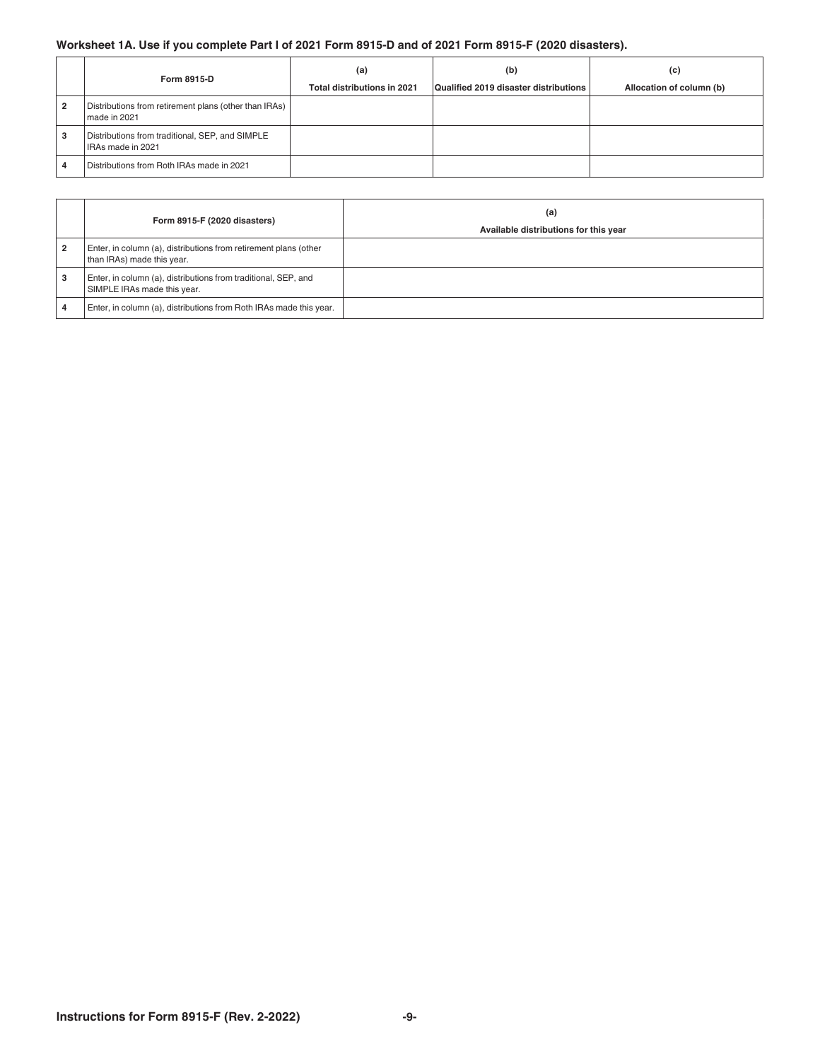### **Worksheet 1A. Use if you complete Part I of 2021 Form 8915-D and of 2021 Form 8915-F (2020 disasters).**

|                | Form 8915-D                                                           | (a)<br>Total distributions in 2021 | (b)<br>Qualified 2019 disaster distributions | (c)<br>Allocation of column (b) |
|----------------|-----------------------------------------------------------------------|------------------------------------|----------------------------------------------|---------------------------------|
| $\overline{2}$ | Distributions from retirement plans (other than IRAs)<br>made in 2021 |                                    |                                              |                                 |
| 3              | Distributions from traditional, SEP, and SIMPLE<br>IRAs made in 2021  |                                    |                                              |                                 |
| 4              | Distributions from Roth IRAs made in 2021                             |                                    |                                              |                                 |

|                | Form 8915-F (2020 disasters)                                                                   | (a)<br>Available distributions for this year |
|----------------|------------------------------------------------------------------------------------------------|----------------------------------------------|
| $\overline{2}$ | Enter, in column (a), distributions from retirement plans (other<br>than IRAs) made this year. |                                              |
| 3              | Enter, in column (a), distributions from traditional, SEP, and<br>SIMPLE IRAs made this year.  |                                              |
|                | Enter, in column (a), distributions from Roth IRAs made this year.                             |                                              |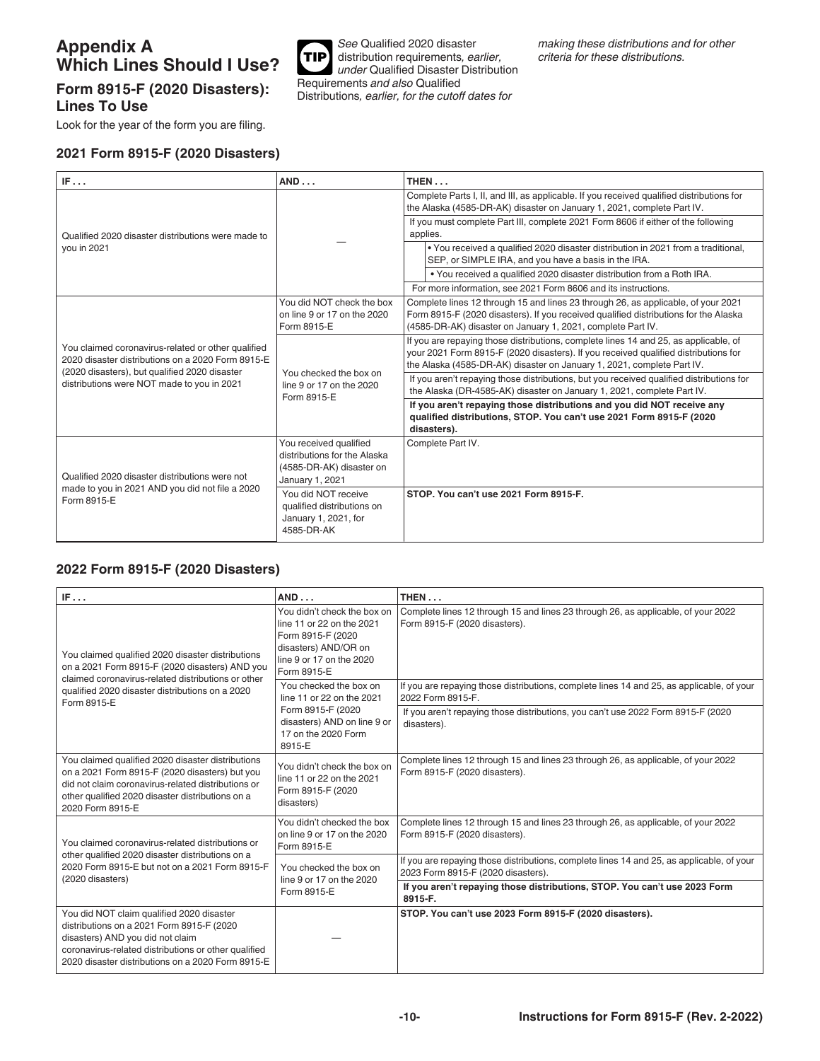# <span id="page-9-0"></span>**Appendix A Which Lines Should I Use?**

# **Form 8915-F (2020 Disasters): Lines To Use**

Look for the year of the form you are filing.

#### **2021 Form 8915-F (2020 Disasters)**



| IF                                                                                                                                                       | AND                                                                                                   | THEN                                                                                                                                                                                                                                                                 |
|----------------------------------------------------------------------------------------------------------------------------------------------------------|-------------------------------------------------------------------------------------------------------|----------------------------------------------------------------------------------------------------------------------------------------------------------------------------------------------------------------------------------------------------------------------|
| Qualified 2020 disaster distributions were made to                                                                                                       |                                                                                                       | Complete Parts I, II, and III, as applicable. If you received qualified distributions for<br>the Alaska (4585-DR-AK) disaster on January 1, 2021, complete Part IV.<br>If you must complete Part III, complete 2021 Form 8606 if either of the following<br>applies. |
| you in 2021                                                                                                                                              |                                                                                                       | . You received a qualified 2020 disaster distribution in 2021 from a traditional,<br>SEP, or SIMPLE IRA, and you have a basis in the IRA.                                                                                                                            |
|                                                                                                                                                          |                                                                                                       | . You received a qualified 2020 disaster distribution from a Roth IRA.                                                                                                                                                                                               |
|                                                                                                                                                          |                                                                                                       | For more information, see 2021 Form 8606 and its instructions.                                                                                                                                                                                                       |
|                                                                                                                                                          | You did NOT check the box<br>on line 9 or 17 on the 2020<br>Form 8915-E                               | Complete lines 12 through 15 and lines 23 through 26, as applicable, of your 2021<br>Form 8915-F (2020 disasters). If you received qualified distributions for the Alaska<br>(4585-DR-AK) disaster on January 1, 2021, complete Part IV.                             |
| You claimed coronavirus-related or other qualified<br>2020 disaster distributions on a 2020 Form 8915-E<br>(2020 disasters), but qualified 2020 disaster | You checked the box on<br>line 9 or 17 on the 2020<br>Form 8915-E                                     | If you are repaying those distributions, complete lines 14 and 25, as applicable, of<br>your 2021 Form 8915-F (2020 disasters). If you received qualified distributions for<br>the Alaska (4585-DR-AK) disaster on January 1, 2021, complete Part IV.                |
| distributions were NOT made to you in 2021                                                                                                               |                                                                                                       | If you aren't repaying those distributions, but you received qualified distributions for<br>the Alaska (DR-4585-AK) disaster on January 1, 2021, complete Part IV.                                                                                                   |
|                                                                                                                                                          |                                                                                                       | If you aren't repaying those distributions and you did NOT receive any<br>qualified distributions, STOP. You can't use 2021 Form 8915-F (2020<br>disasters).                                                                                                         |
| Qualified 2020 disaster distributions were not                                                                                                           | You received qualified<br>distributions for the Alaska<br>(4585-DR-AK) disaster on<br>January 1, 2021 | Complete Part IV.                                                                                                                                                                                                                                                    |
| made to you in 2021 AND you did not file a 2020<br>Form 8915-E                                                                                           | You did NOT receive<br>qualified distributions on<br>January 1, 2021, for<br>4585-DR-AK               | STOP. You can't use 2021 Form 8915-F.                                                                                                                                                                                                                                |

### **2022 Form 8915-F (2020 Disasters)**

| IF                                                                                                                                                                                                                                       | AND                                                                                                                                              | THEN                                                                                                                            |
|------------------------------------------------------------------------------------------------------------------------------------------------------------------------------------------------------------------------------------------|--------------------------------------------------------------------------------------------------------------------------------------------------|---------------------------------------------------------------------------------------------------------------------------------|
| You claimed qualified 2020 disaster distributions<br>on a 2021 Form 8915-F (2020 disasters) AND you<br>claimed coronavirus-related distributions or other                                                                                | You didn't check the box on<br>line 11 or 22 on the 2021<br>Form 8915-F (2020<br>disasters) AND/OR on<br>line 9 or 17 on the 2020<br>Form 8915-E | Complete lines 12 through 15 and lines 23 through 26, as applicable, of your 2022<br>Form 8915-F (2020 disasters).              |
| qualified 2020 disaster distributions on a 2020<br>Form 8915-E                                                                                                                                                                           | You checked the box on<br>line 11 or 22 on the 2021                                                                                              | If you are repaying those distributions, complete lines 14 and 25, as applicable, of your<br>2022 Form 8915-F.                  |
|                                                                                                                                                                                                                                          | Form 8915-F (2020<br>disasters) AND on line 9 or<br>17 on the 2020 Form<br>8915-E                                                                | If you aren't repaying those distributions, you can't use 2022 Form 8915-F (2020<br>disasters).                                 |
| You claimed qualified 2020 disaster distributions<br>on a 2021 Form 8915-F (2020 disasters) but you<br>did not claim coronavirus-related distributions or<br>other qualified 2020 disaster distributions on a<br>2020 Form 8915-E        | You didn't check the box on<br>line 11 or 22 on the 2021<br>Form 8915-F (2020<br>disasters)                                                      | Complete lines 12 through 15 and lines 23 through 26, as applicable, of your 2022<br>Form 8915-F (2020 disasters).              |
| You claimed coronavirus-related distributions or                                                                                                                                                                                         | You didn't checked the box<br>on line 9 or 17 on the 2020<br>Form 8915-E                                                                         | Complete lines 12 through 15 and lines 23 through 26, as applicable, of your 2022<br>Form 8915-F (2020 disasters).              |
| other qualified 2020 disaster distributions on a<br>2020 Form 8915-E but not on a 2021 Form 8915-F<br>(2020 disasters)                                                                                                                   | You checked the box on<br>line 9 or 17 on the 2020                                                                                               | If you are repaying those distributions, complete lines 14 and 25, as applicable, of your<br>2023 Form 8915-F (2020 disasters). |
|                                                                                                                                                                                                                                          | Form 8915-E                                                                                                                                      | If you aren't repaying those distributions, STOP. You can't use 2023 Form<br>8915-F.                                            |
| You did NOT claim qualified 2020 disaster<br>distributions on a 2021 Form 8915-F (2020)<br>disasters) AND you did not claim<br>coronavirus-related distributions or other qualified<br>2020 disaster distributions on a 2020 Form 8915-E |                                                                                                                                                  | STOP. You can't use 2023 Form 8915-F (2020 disasters).                                                                          |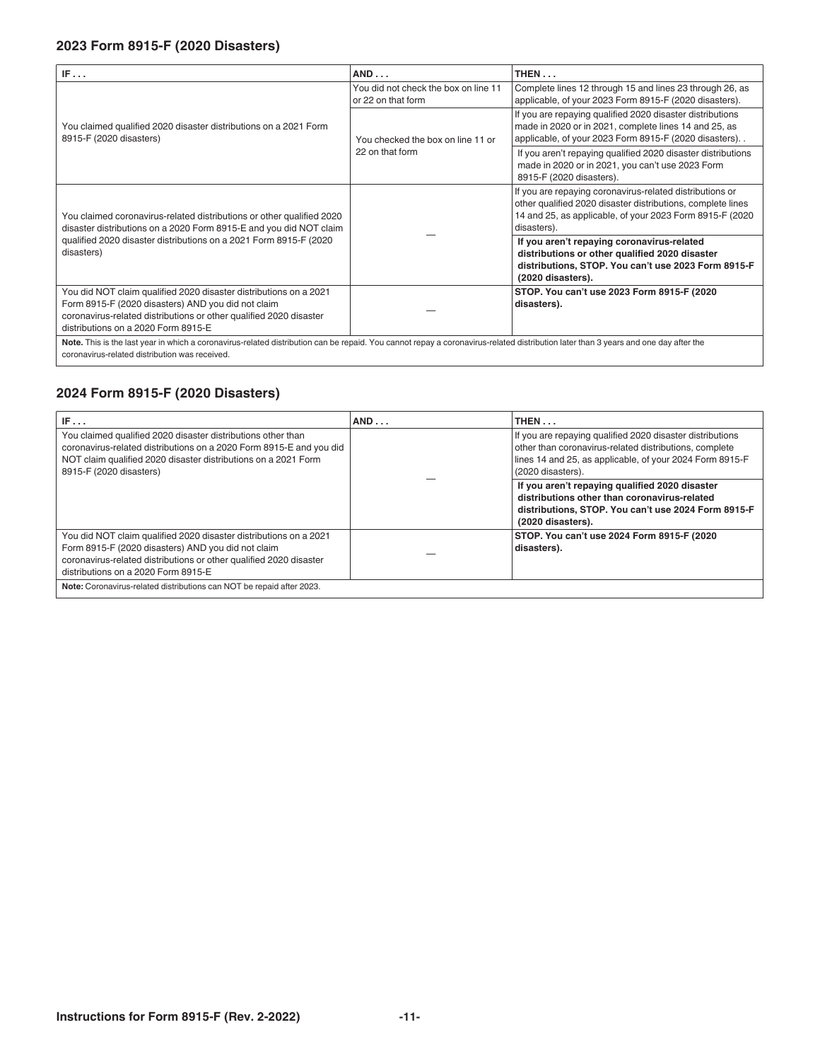# **2023 Form 8915-F (2020 Disasters)**

| IF                                                                                                                                                                                                                                    | AND                                                        | THEN                                                                                                                                                                                               |  |  |
|---------------------------------------------------------------------------------------------------------------------------------------------------------------------------------------------------------------------------------------|------------------------------------------------------------|----------------------------------------------------------------------------------------------------------------------------------------------------------------------------------------------------|--|--|
|                                                                                                                                                                                                                                       | You did not check the box on line 11<br>or 22 on that form | Complete lines 12 through 15 and lines 23 through 26, as<br>applicable, of your 2023 Form 8915-F (2020 disasters).                                                                                 |  |  |
| You claimed qualified 2020 disaster distributions on a 2021 Form<br>8915-F (2020 disasters)                                                                                                                                           | You checked the box on line 11 or                          | If you are repaying qualified 2020 disaster distributions<br>made in 2020 or in 2021, complete lines 14 and 25, as<br>applicable, of your 2023 Form 8915-F (2020 disasters). .                     |  |  |
|                                                                                                                                                                                                                                       | 22 on that form                                            | If you aren't repaying qualified 2020 disaster distributions<br>made in 2020 or in 2021, you can't use 2023 Form<br>8915-F (2020 disasters).                                                       |  |  |
| You claimed coronavirus-related distributions or other qualified 2020<br>disaster distributions on a 2020 Form 8915-E and you did NOT claim                                                                                           |                                                            | If you are repaying coronavirus-related distributions or<br>other qualified 2020 disaster distributions, complete lines<br>14 and 25, as applicable, of your 2023 Form 8915-F (2020<br>disasters). |  |  |
| qualified 2020 disaster distributions on a 2021 Form 8915-F (2020)<br>disasters)                                                                                                                                                      |                                                            | If you aren't repaying coronavirus-related<br>distributions or other qualified 2020 disaster<br>distributions, STOP. You can't use 2023 Form 8915-F<br>(2020 disasters).                           |  |  |
| You did NOT claim qualified 2020 disaster distributions on a 2021<br>Form 8915-F (2020 disasters) AND you did not claim<br>coronavirus-related distributions or other qualified 2020 disaster<br>distributions on a 2020 Form 8915-E  |                                                            | STOP. You can't use 2023 Form 8915-F (2020)<br>disasters).                                                                                                                                         |  |  |
| Note. This is the last year in which a coronavirus-related distribution can be repaid. You cannot repay a coronavirus-related distribution later than 3 years and one day after the<br>coronavirus-related distribution was received. |                                                            |                                                                                                                                                                                                    |  |  |

# **2024 Form 8915-F (2020 Disasters)**

| IF                                                                                                                                                                                                                                   | AND | THEN                                                                                                                                                                                                 |  |  |  |
|--------------------------------------------------------------------------------------------------------------------------------------------------------------------------------------------------------------------------------------|-----|------------------------------------------------------------------------------------------------------------------------------------------------------------------------------------------------------|--|--|--|
| You claimed qualified 2020 disaster distributions other than<br>coronavirus-related distributions on a 2020 Form 8915-E and you did<br>NOT claim qualified 2020 disaster distributions on a 2021 Form<br>8915-F (2020 disasters)     |     | If you are repaying qualified 2020 disaster distributions<br>other than coronavirus-related distributions, complete<br>lines 14 and 25, as applicable, of your 2024 Form 8915-F<br>(2020 disasters). |  |  |  |
|                                                                                                                                                                                                                                      |     | If you aren't repaying qualified 2020 disaster<br>distributions other than coronavirus-related<br>distributions, STOP. You can't use 2024 Form 8915-F<br>(2020 disasters).                           |  |  |  |
| You did NOT claim qualified 2020 disaster distributions on a 2021<br>Form 8915-F (2020 disasters) AND you did not claim<br>coronavirus-related distributions or other qualified 2020 disaster<br>distributions on a 2020 Form 8915-E |     | STOP. You can't use 2024 Form 8915-F (2020<br>disasters).                                                                                                                                            |  |  |  |
| Note: Coronavirus-related distributions can NOT be repaid after 2023.                                                                                                                                                                |     |                                                                                                                                                                                                      |  |  |  |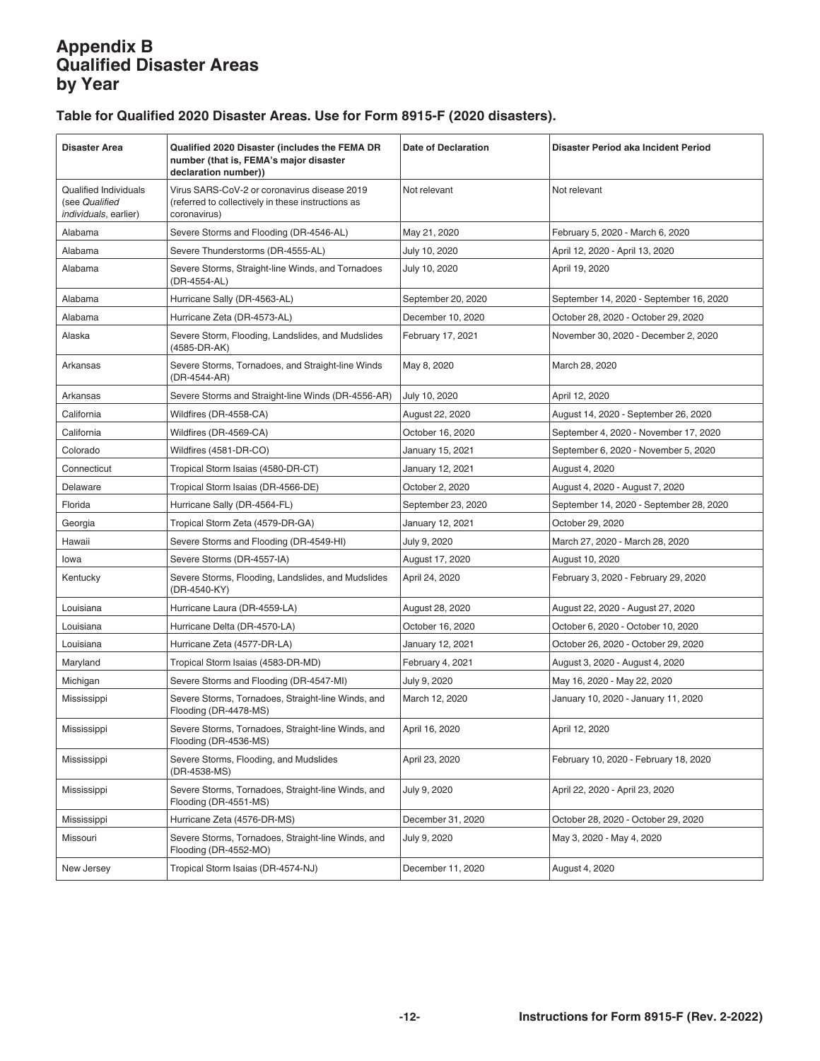# <span id="page-11-0"></span>**Appendix B Qualified Disaster Areas by Year**

# **Table for Qualified 2020 Disaster Areas. Use for Form 8915-F (2020 disasters).**

| <b>Disaster Area</b>                                                            | Qualified 2020 Disaster (includes the FEMA DR<br>number (that is, FEMA's major disaster<br>declaration number))    | <b>Date of Declaration</b> | Disaster Period aka Incident Period     |
|---------------------------------------------------------------------------------|--------------------------------------------------------------------------------------------------------------------|----------------------------|-----------------------------------------|
| <b>Qualified Individuals</b><br>(see Qualified<br><i>individuals</i> , earlier) | Virus SARS-CoV-2 or coronavirus disease 2019<br>(referred to collectively in these instructions as<br>coronavirus) | Not relevant               | Not relevant                            |
| Alabama                                                                         | Severe Storms and Flooding (DR-4546-AL)                                                                            | May 21, 2020               | February 5, 2020 - March 6, 2020        |
| Alabama                                                                         | Severe Thunderstorms (DR-4555-AL)                                                                                  | July 10, 2020              | April 12, 2020 - April 13, 2020         |
| Alabama                                                                         | Severe Storms, Straight-line Winds, and Tornadoes<br>(DR-4554-AL)                                                  | July 10, 2020              | April 19, 2020                          |
| Alabama                                                                         | Hurricane Sally (DR-4563-AL)                                                                                       | September 20, 2020         | September 14, 2020 - September 16, 2020 |
| Alabama                                                                         | Hurricane Zeta (DR-4573-AL)                                                                                        | December 10, 2020          | October 28, 2020 - October 29, 2020     |
| Alaska                                                                          | Severe Storm, Flooding, Landslides, and Mudslides<br>(4585-DR-AK)                                                  | February 17, 2021          | November 30, 2020 - December 2, 2020    |
| Arkansas                                                                        | Severe Storms, Tornadoes, and Straight-line Winds<br>(DR-4544-AR)                                                  | May 8, 2020                | March 28, 2020                          |
| Arkansas                                                                        | Severe Storms and Straight-line Winds (DR-4556-AR)                                                                 | July 10, 2020              | April 12, 2020                          |
| California                                                                      | Wildfires (DR-4558-CA)                                                                                             | August 22, 2020            | August 14, 2020 - September 26, 2020    |
| California                                                                      | Wildfires (DR-4569-CA)                                                                                             | October 16, 2020           | September 4, 2020 - November 17, 2020   |
| Colorado                                                                        | Wildfires (4581-DR-CO)                                                                                             | January 15, 2021           | September 6, 2020 - November 5, 2020    |
| Connecticut                                                                     | Tropical Storm Isaias (4580-DR-CT)                                                                                 | January 12, 2021           | August 4, 2020                          |
| Delaware                                                                        | Tropical Storm Isaias (DR-4566-DE)                                                                                 | October 2, 2020            | August 4, 2020 - August 7, 2020         |
| Florida                                                                         | Hurricane Sally (DR-4564-FL)                                                                                       | September 23, 2020         | September 14, 2020 - September 28, 2020 |
| Georgia                                                                         | Tropical Storm Zeta (4579-DR-GA)                                                                                   | January 12, 2021           | October 29, 2020                        |
| Hawaii                                                                          | Severe Storms and Flooding (DR-4549-HI)                                                                            | July 9, 2020               | March 27, 2020 - March 28, 2020         |
| lowa                                                                            | Severe Storms (DR-4557-IA)                                                                                         | August 17, 2020            | August 10, 2020                         |
| Kentucky                                                                        | Severe Storms, Flooding, Landslides, and Mudslides<br>(DR-4540-KY)                                                 | April 24, 2020             | February 3, 2020 - February 29, 2020    |
| Louisiana                                                                       | Hurricane Laura (DR-4559-LA)                                                                                       | August 28, 2020            | August 22, 2020 - August 27, 2020       |
| Louisiana                                                                       | Hurricane Delta (DR-4570-LA)                                                                                       | October 16, 2020           | October 6, 2020 - October 10, 2020      |
| Louisiana                                                                       | Hurricane Zeta (4577-DR-LA)                                                                                        | January 12, 2021           | October 26, 2020 - October 29, 2020     |
| Maryland                                                                        | Tropical Storm Isaias (4583-DR-MD)                                                                                 | February 4, 2021           | August 3, 2020 - August 4, 2020         |
| Michigan                                                                        | Severe Storms and Flooding (DR-4547-MI)                                                                            | July 9, 2020               | May 16, 2020 - May 22, 2020             |
| Mississippi                                                                     | Severe Storms, Tornadoes, Straight-line Winds, and<br>Flooding (DR-4478-MS)                                        | March 12, 2020             | January 10, 2020 - January 11, 2020     |
| Mississippi                                                                     | Severe Storms, Tornadoes, Straight-line Winds, and<br>Flooding (DR-4536-MS)                                        | April 16, 2020             | April 12, 2020                          |
| Mississippi                                                                     | Severe Storms, Flooding, and Mudslides<br>(DR-4538-MS)                                                             | April 23, 2020             | February 10, 2020 - February 18, 2020   |
| Mississippi                                                                     | Severe Storms, Tornadoes, Straight-line Winds, and<br>Flooding (DR-4551-MS)                                        | July 9, 2020               | April 22, 2020 - April 23, 2020         |
| Mississippi                                                                     | Hurricane Zeta (4576-DR-MS)                                                                                        | December 31, 2020          | October 28, 2020 - October 29, 2020     |
| Missouri                                                                        | Severe Storms, Tornadoes, Straight-line Winds, and<br>Flooding (DR-4552-MO)                                        | July 9, 2020               | May 3, 2020 - May 4, 2020               |
| New Jersey                                                                      | Tropical Storm Isaias (DR-4574-NJ)                                                                                 | December 11, 2020          | August 4, 2020                          |